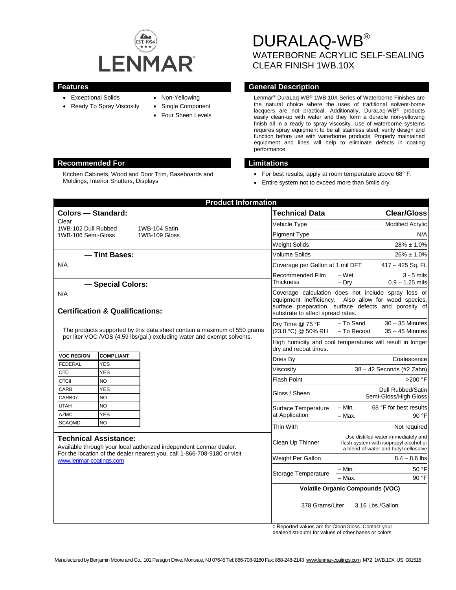

- Exceptional Solids
- Ready To Spray Viscosity
- Non-Yellowing
- Single Component
	- Four Sheen Levels

DURALAQ-WB® WATERBORNE ACRYLIC SELF-SEALING CLEAR FINISH 1WB.10X

# **Features General Description**

Lenmar® DuraLaq-WB® 1WB.10X Series of Waterborne Finishes are the natural choice where the uses of traditional solvent-borne lacquers are not practical. Additionally, DuraLaq-WB® products easily clean-up with water and they form a durable non-yellowing finish all in a ready to spray viscosity. Use of waterborne systems requires spray equipment to be all stainless steel, verify design and function before use with waterborne products. Properly maintained equipment and lines will help to eliminate defects in coating performance.

- For best results, apply at room temperature above 68° F.
- Entire system not to exceed more than 5mils dry.

|                                                                                                                                                                                                           |                          | <b>Product Information</b> |                                                                                    |                                                                                                                                             |
|-----------------------------------------------------------------------------------------------------------------------------------------------------------------------------------------------------------|--------------------------|----------------------------|------------------------------------------------------------------------------------|---------------------------------------------------------------------------------------------------------------------------------------------|
| <b>Colors - Standard:</b>                                                                                                                                                                                 |                          |                            | <b>Technical Data</b>                                                              | <b>Clear/Gloss</b>                                                                                                                          |
| Clear<br>1WB-102 Dull Rubbed                                                                                                                                                                              |                          | 1WB-104 Satin              | Vehicle Type                                                                       | <b>Modified Acrylic</b>                                                                                                                     |
| 1WB-106 Semi-Gloss                                                                                                                                                                                        |                          | 1WB-109 Gloss              | <b>Pigment Type</b>                                                                | N/A                                                                                                                                         |
|                                                                                                                                                                                                           |                          |                            | <b>Weight Solids</b>                                                               | $28\% \pm 1.0\%$                                                                                                                            |
| - Tint Bases:<br>N/A                                                                                                                                                                                      |                          |                            | Volume Solids                                                                      | $26\% \pm 1.0\%$                                                                                                                            |
|                                                                                                                                                                                                           |                          |                            | Coverage per Gallon at 1 mil DFT                                                   | 417 - 425 Sq. Ft.                                                                                                                           |
|                                                                                                                                                                                                           |                          |                            | Recommended Film                                                                   | $3 - 5$ mils<br>– Wet                                                                                                                       |
|                                                                                                                                                                                                           | - Special Colors:        |                            | Thickness                                                                          | $0.9 - 1.25$ mils<br>$-$ Dry                                                                                                                |
| N/A<br><b>Certification &amp; Qualifications:</b>                                                                                                                                                         |                          |                            | equipment inefficiency.<br>substrate to affect spread rates.                       | Coverage calculation does not include spray loss or<br>Also allow for wood species,<br>surface preparation, surface defects and porosity of |
| The products supported by this data sheet contain a maximum of 550 grams<br>per liter VOC /VOS (4.59 lbs/gal.) excluding water and exempt solvents.                                                       |                          |                            | Dry Time @ 75 °F<br>(23.8 °C) @ 50% RH                                             | $30 - 35$ Minutes<br>- To Sand<br>- To Recoat<br>$35 - 45$ Minutes                                                                          |
|                                                                                                                                                                                                           |                          |                            | High humidity and cool temperatures will result in longer<br>dry and recoat times. |                                                                                                                                             |
| <b>VOC REGION</b>                                                                                                                                                                                         | <b>COMPLIANT</b>         |                            | Dries By                                                                           | Coalescence                                                                                                                                 |
| <b>FEDERAL</b><br><b>OTC</b>                                                                                                                                                                              | <b>YES</b><br><b>YES</b> |                            | Viscositv                                                                          | 38 - 42 Seconds (#2 Zahn)                                                                                                                   |
| <b>OTCII</b>                                                                                                                                                                                              | <b>NO</b>                |                            | <b>Flash Point</b>                                                                 | >200 °F                                                                                                                                     |
| CARB<br>CARB07                                                                                                                                                                                            | <b>YES</b><br><b>NO</b>  |                            | Gloss / Sheen                                                                      | Dull Rubbed/Satin<br>Semi-Gloss/High Gloss                                                                                                  |
| <b>UTAH</b>                                                                                                                                                                                               | <b>NO</b>                |                            | Surface Temperature<br>at Application                                              | 68 °F for best results<br>$- Min.$                                                                                                          |
| <b>AZMC</b>                                                                                                                                                                                               | <b>YES</b>               |                            |                                                                                    | $-$ Max.<br>90 °F                                                                                                                           |
| <b>SCAQMD</b>                                                                                                                                                                                             | <b>NO</b>                |                            | Thin With                                                                          | Not required                                                                                                                                |
| <b>Technical Assistance:</b><br>Available through your local authorized independent Lenmar dealer.<br>For the location of the dealer nearest you, call 1-866-708-9180 or visit<br>www.lenmar-coatings.com |                          |                            | Clean Up Thinner                                                                   | Use distilled water immediately and<br>flush system with isopropyl alcohol or<br>a blend of water and butyl cellosolve                      |
|                                                                                                                                                                                                           |                          |                            | Weight Per Gallon                                                                  | $8.4 - 8.6$ lbs                                                                                                                             |
|                                                                                                                                                                                                           |                          |                            | Storage Temperature                                                                | - Min.<br>50 °F                                                                                                                             |
|                                                                                                                                                                                                           |                          |                            |                                                                                    | $90°$ F<br>$-$ Max.                                                                                                                         |
|                                                                                                                                                                                                           |                          |                            | <b>Volatile Organic Compounds (VOC)</b>                                            |                                                                                                                                             |
|                                                                                                                                                                                                           |                          |                            | 378 Grams/Liter                                                                    | 3.16 Lbs./Gallon                                                                                                                            |

◊ Reported values are for Clear/Gloss. Contact your dealer/distributor for values of other bases or colors

Manufactured by Benjamin Moore and Co., 101 Paragon Drive, Montvale, NJ 07645 Tel: 866-708-9180 Fax: 888-248-2143 [www.lenmar-coatings.com](http://www.lenmar-coatings.com/) M72 1WB.10X US 081518

## **Recommended For Limitations**

Kitchen Cabinets, Wood and Door Trim, Baseboards and Moldings, Interior Shutters, Displays